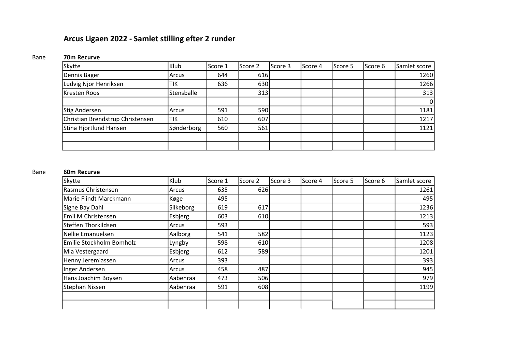# Arcus Ligaen 2022 - Samlet stilling efter 2 runder

# Bane 70m Recurve

| Skytte                           | Klub       | Score 1 | Score 2 | lScore 3 | Score 4 | Score 5 | lScore 6 | Samlet score   |
|----------------------------------|------------|---------|---------|----------|---------|---------|----------|----------------|
| Dennis Bager                     | Arcus      | 644     | 616     |          |         |         |          | 1260           |
| Ludvig Njor Henriksen            | 'TIK       | 636     | 630     |          |         |         |          | 1266           |
| Kresten Roos                     | Stensballe |         | 313     |          |         |         |          | 313            |
|                                  |            |         |         |          |         |         |          | $\overline{0}$ |
| <b>Stig Andersen</b>             | Arcus      | 591     | 590     |          |         |         |          | 1181           |
| Christian Brendstrup Christensen | <b>TIK</b> | 610     | 607     |          |         |         |          | 1217           |
| Stina Hjortlund Hansen           | Sønderborg | 560     | 561     |          |         |         |          | 1121           |
|                                  |            |         |         |          |         |         |          |                |
|                                  |            |         |         |          |         |         |          |                |

### Bane 60m Recurve

| <b>Skytte</b>            | Klub      | Score 1 | Score 2 | Score 3 | Score 4 | Score 5 | Score 6 | Samlet score |
|--------------------------|-----------|---------|---------|---------|---------|---------|---------|--------------|
| Rasmus Christensen       | Arcus     | 635     | 626     |         |         |         |         | 1261         |
| Marie Flindt Marckmann   | Køge      | 495     |         |         |         |         |         | 495          |
| Signe Bay Dahl           | Silkeborg | 619     | 617     |         |         |         |         | 1236         |
| Emil M Christensen       | Esbjerg   | 603     | 610     |         |         |         |         | 1213         |
| Steffen Thorkildsen      | Arcus     | 593     |         |         |         |         |         | 593          |
| Nellie Emanuelsen        | Aalborg   | 541     | 582     |         |         |         |         | 1123         |
| Emilie Stockholm Bomholz | Lyngby    | 598     | 610     |         |         |         |         | 1208         |
| Mia Vestergaard          | Esbjerg   | 612     | 589     |         |         |         |         | 1201         |
| Henny Jeremiassen        | Arcus     | 393     |         |         |         |         |         | 393          |
| Inger Andersen           | Arcus     | 458     | 487     |         |         |         |         | 945          |
| Hans Joachim Boysen      | Aabenraa  | 473     | 506     |         |         |         |         | 979          |
| Stephan Nissen           | Aabenraa  | 591     | 608     |         |         |         |         | 1199         |
|                          |           |         |         |         |         |         |         |              |
|                          |           |         |         |         |         |         |         |              |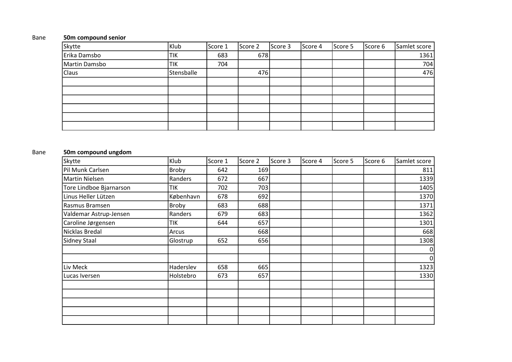### Bane 50m compound senior

| Skytte        | Klub             | Score 1 | Score 2 | Score 3 | Score 4 | Score 5 | Score 6 | Samlet score |
|---------------|------------------|---------|---------|---------|---------|---------|---------|--------------|
| Erika Damsbo  | <sup>I</sup> TIK | 683     | 678     |         |         |         |         | 1361         |
| Martin Damsbo | <sup>I</sup> TIK | 704     |         |         |         |         |         | 704          |
| Claus         | Stensballe       |         | 476     |         |         |         |         | 476          |
|               |                  |         |         |         |         |         |         |              |
|               |                  |         |         |         |         |         |         |              |
|               |                  |         |         |         |         |         |         |              |
|               |                  |         |         |         |         |         |         |              |
|               |                  |         |         |         |         |         |         |              |
|               |                  |         |         |         |         |         |         |              |

## Bane 50m compound ungdom

| Skytte                  | Klub         | Score 1 | Score 2 | Score 3 | Score 4 | Score 5 | Score 6 | Samlet score |
|-------------------------|--------------|---------|---------|---------|---------|---------|---------|--------------|
| Pil Munk Carlsen        | Broby        | 642     | 169     |         |         |         |         | 811          |
| Martin Nielsen          | Randers      | 672     | 667     |         |         |         |         | 1339         |
| Tore Lindboe Bjarnarson | <b>TIK</b>   | 702     | 703     |         |         |         |         | 1405         |
| Linus Heller Lützen     | København    | 678     | 692     |         |         |         |         | 1370         |
| Rasmus Bramsen          | <b>Broby</b> | 683     | 688     |         |         |         |         | 1371         |
| Valdemar Astrup-Jensen  | Randers      | 679     | 683     |         |         |         |         | 1362         |
| Caroline Jørgensen      | <b>TIK</b>   | 644     | 657     |         |         |         |         | 1301         |
| Nicklas Bredal          | Arcus        |         | 668     |         |         |         |         | 668          |
| Sidney Staal            | Glostrup     | 652     | 656     |         |         |         |         | 1308         |
|                         |              |         |         |         |         |         |         | 0            |
|                         |              |         |         |         |         |         |         | 0            |
| Liv Meck                | Haderslev    | 658     | 665     |         |         |         |         | 1323         |
| Lucas Iversen           | Holstebro    | 673     | 657     |         |         |         |         | 1330         |
|                         |              |         |         |         |         |         |         |              |
|                         |              |         |         |         |         |         |         |              |
|                         |              |         |         |         |         |         |         |              |
|                         |              |         |         |         |         |         |         |              |
|                         |              |         |         |         |         |         |         |              |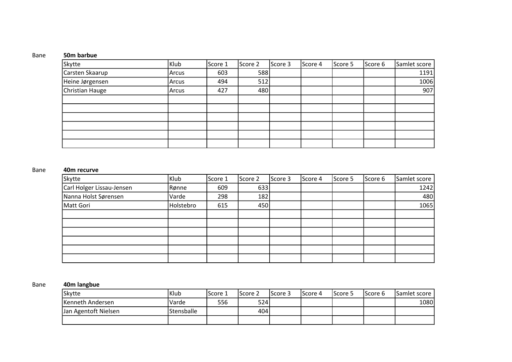### Bane 50m barbue

| Skytte          | Klub  | Score 1 | Score 2 | Score 3 | Score 4 | Score 5 | Score 6 | Samlet score |
|-----------------|-------|---------|---------|---------|---------|---------|---------|--------------|
| Carsten Skaarup | Arcus | 603     | 588     |         |         |         |         | 1191         |
| Heine Jørgensen | Arcus | 494     | 512     |         |         |         |         | 1006         |
| Christian Hauge | Arcus | 427     | 480     |         |         |         |         | 907          |
|                 |       |         |         |         |         |         |         |              |
|                 |       |         |         |         |         |         |         |              |
|                 |       |         |         |         |         |         |         |              |
|                 |       |         |         |         |         |         |         |              |
|                 |       |         |         |         |         |         |         |              |
|                 |       |         |         |         |         |         |         |              |

### Bane 40m recurve

| Skytte                    | Klub      | Score 1 | Score 2 | Score 3 | Score 4 | Score 5 | Score 6 | Samlet score |
|---------------------------|-----------|---------|---------|---------|---------|---------|---------|--------------|
| Carl Holger Lissau-Jensen | Rønne     | 609     | 633     |         |         |         |         | 1242         |
| Nanna Holst Sørensen      | Varde     | 298     | 182     |         |         |         |         | 480          |
| Matt Gori                 | Holstebro | 615     | 450     |         |         |         |         | 1065         |
|                           |           |         |         |         |         |         |         |              |
|                           |           |         |         |         |         |         |         |              |
|                           |           |         |         |         |         |         |         |              |
|                           |           |         |         |         |         |         |         |              |
|                           |           |         |         |         |         |         |         |              |
|                           |           |         |         |         |         |         |         |              |

## Bane 40m langbue

| Skytte               | Klub              | Score 1 | lScore 2 | lScore 3 | lScore 4 | Score 5 | lScore 6 | Samlet score |
|----------------------|-------------------|---------|----------|----------|----------|---------|----------|--------------|
| Kenneth Andersen     | Varde             | 556     | 524l     |          |          |         |          | 1080         |
| Jan Agentoft Nielsen | <b>Stensballe</b> |         | 404      |          |          |         |          |              |
|                      |                   |         |          |          |          |         |          |              |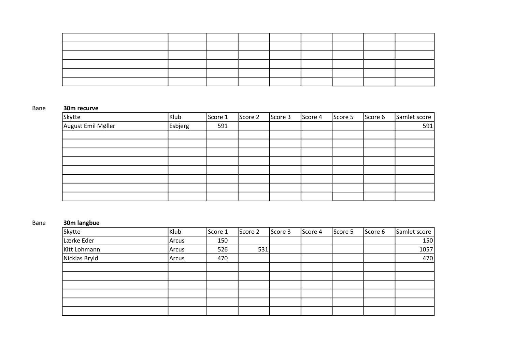|  | the contract of the contract of the contract of the contract of the contract of the contract of |  |  |  |
|--|-------------------------------------------------------------------------------------------------|--|--|--|
|  |                                                                                                 |  |  |  |

### Bane 30m recurve

| Skytte             | Klub           | Score 1 | Score 2 | Score 3 | Score 4 | Score 5 | Score 6 | Samlet score |
|--------------------|----------------|---------|---------|---------|---------|---------|---------|--------------|
| August Emil Møller | <b>Esbjerg</b> | 591     |         |         |         |         |         | 591          |
|                    |                |         |         |         |         |         |         |              |
|                    |                |         |         |         |         |         |         |              |
|                    |                |         |         |         |         |         |         |              |
|                    |                |         |         |         |         |         |         |              |
|                    |                |         |         |         |         |         |         |              |
|                    |                |         |         |         |         |         |         |              |
|                    |                |         |         |         |         |         |         |              |
|                    |                |         |         |         |         |         |         |              |

### Bane 30m langbue

| Skytte        | Klub  | Score 1 | Score 2 | Score 3 | Score 4 | Score 5 | Score 6 | Samlet score |
|---------------|-------|---------|---------|---------|---------|---------|---------|--------------|
| Lærke Eder    | Arcus | 150     |         |         |         |         |         | 150          |
| Kitt Lohmann  | Arcus | 526     | 531     |         |         |         |         | 1057         |
| Nicklas Bryld | Arcus | 470     |         |         |         |         |         | 470          |
|               |       |         |         |         |         |         |         |              |
|               |       |         |         |         |         |         |         |              |
|               |       |         |         |         |         |         |         |              |
|               |       |         |         |         |         |         |         |              |
|               |       |         |         |         |         |         |         |              |
|               |       |         |         |         |         |         |         |              |